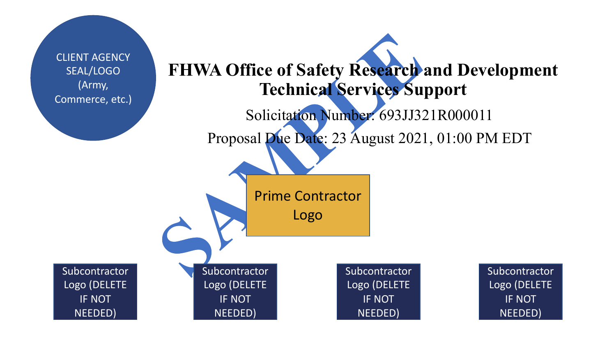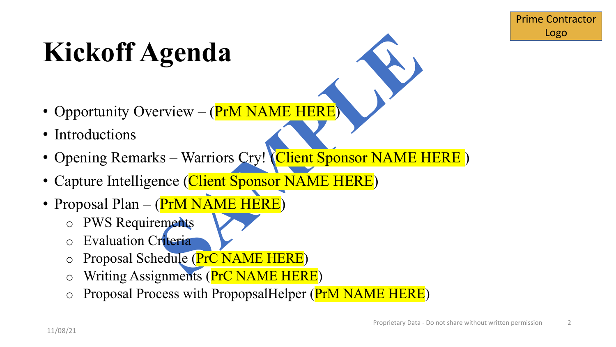### **Kickoff Agenda**

- Opportunity Overview (PrM NAME HERE)
- Introductions
- **SEARCH CONTROLLERS**<br>
SAMPLE THE CONTROLLERS<br>
SAMPLE THE CONTROLLERS CITY!<br>
SAMPLE THE CONTROLLERS<br>
THE CONTROLLERS<br>
THE CONTROLLERS<br>
THE CONTROLLERS<br>
THE CONTROLLERS<br>
THE CONTROLLERS<br>
THE CONTROLLERS<br>
THE CONTROLLERS<br>
THE • Opening Remarks – Warriors Cry! (Client Sponsor NAME HERE)
- Capture Intelligence (Client Sponsor NAME HERE)
- Proposal Plan (PrM NAME HERE)
	- o PWS Requirements
	- **Evaluation Criteria**
	- Proposal Schedule (PrC NAME HERE)
	- Writing Assignments (PrC NAME HERE)
	- o Proposal Process with PropopsalHelper (PrM NAME HERE)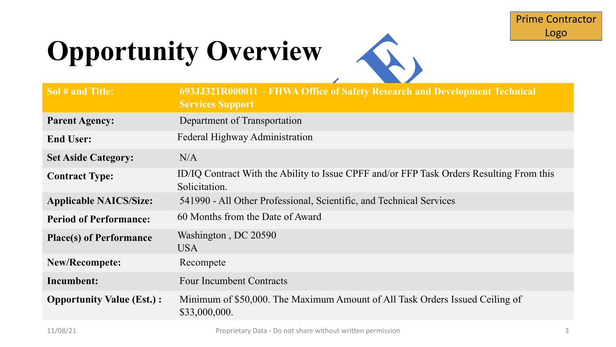## **Opportunity Overview**



|                                  | Logo                                                                                                      |  |  |  |
|----------------------------------|-----------------------------------------------------------------------------------------------------------|--|--|--|
| <b>Opportunity Overview</b>      |                                                                                                           |  |  |  |
| Sol # and Title:                 | 693JJ321R000011 – FHWA Office of Safety Research and Development Technical<br><b>Services Support</b>     |  |  |  |
| <b>Parent Agency:</b>            | Department of Transportation                                                                              |  |  |  |
| <b>End User:</b>                 | Federal Highway Administration                                                                            |  |  |  |
| <b>Set Aside Category:</b>       | N/A                                                                                                       |  |  |  |
| <b>Contract Type:</b>            | ID/IQ Contract With the Ability to Issue CPFF and/or FFP Task Orders Resulting From this<br>Solicitation. |  |  |  |
| <b>Applicable NAICS/Size:</b>    | 541990 - All Other Professional, Scientific, and Technical Services                                       |  |  |  |
| <b>Period of Performance:</b>    | 60 Months from the Date of Award                                                                          |  |  |  |
| <b>Place(s) of Performance</b>   | Washington, DC 20590<br><b>USA</b>                                                                        |  |  |  |
| <b>New/Recompete:</b>            | Recompete                                                                                                 |  |  |  |
| Incumbent:                       | <b>Four Incumbent Contracts</b>                                                                           |  |  |  |
| <b>Opportunity Value (Est.):</b> | Minimum of \$50,000. The Maximum Amount of All Task Orders Issued Ceiling of<br>\$33,000,000.             |  |  |  |
|                                  |                                                                                                           |  |  |  |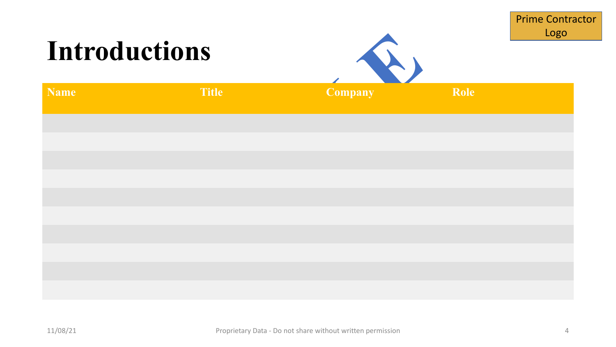|               |              |                |      | <b>Prime Contractor</b><br>Logo |  |
|---------------|--------------|----------------|------|---------------------------------|--|
| Introductions |              |                |      |                                 |  |
| <b>Name</b>   | <b>Title</b> | <b>Company</b> | Role |                                 |  |
|               |              |                |      |                                 |  |
|               |              |                |      |                                 |  |
|               |              |                |      |                                 |  |
|               |              |                |      |                                 |  |
|               |              |                |      |                                 |  |
|               |              |                |      |                                 |  |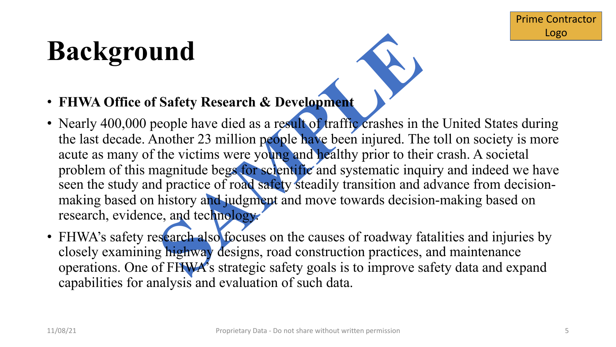### **Background**

- **FHWA Office of Safety Research & Development**
- **Safety Research & Development**<br>
eople have died as a result of traffic crashes in the nother 23 million people have been injured. The<br>
the victims were young and healthy prior to the<br>
nagnitude begs for sclentific and sys • Nearly 400,000 people have died as a result of traffic crashes in the United States during the last decade. Another 23 million people have been injured. The toll on society is more acute as many of the victims were young and healthy prior to their crash. A societal problem of this magnitude begs for scientific and systematic inquiry and indeed we have seen the study and practice of road safety steadily transition and advance from decisionmaking based on history and judgment and move towards decision-making based on research, evidence, and technology.
- FHWA's safety research also focuses on the causes of roadway fatalities and injuries by closely examining highway designs, road construction practices, and maintenance operations. One of FHWA's strategic safety goals is to improve safety data and expand capabilities for analysis and evaluation of such data.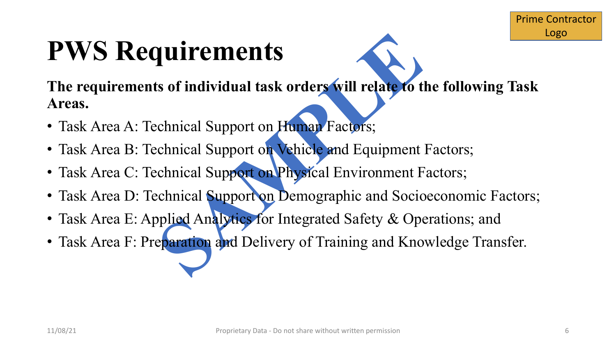### **PWS Requirements**

**ULTEMENTS**<br>
So findividual task orders will relate to the contract of the contract of Metal Support on Human Factors;<br>
chnical Support on Physical Environment F<br>
chnical Support on Physical Environment F<br>
chnical Support **The requirements of individual task orders will relate to the following Task Areas.** 

- Task Area A: Technical Support on Human Factors;
- Task Area B: Technical Support on Vehicle and Equipment Factors;
- Task Area C: Technical Support on Physical Environment Factors;
- Task Area D: Technical Support on Demographic and Socioeconomic Factors;
- Task Area E: Applied Analytics for Integrated Safety & Operations; and
- Task Area F: Preparation and Delivery of Training and Knowledge Transfer.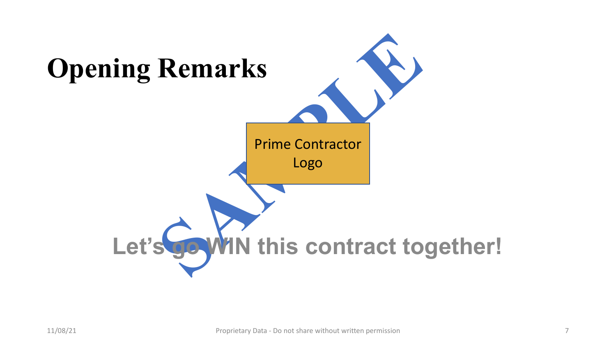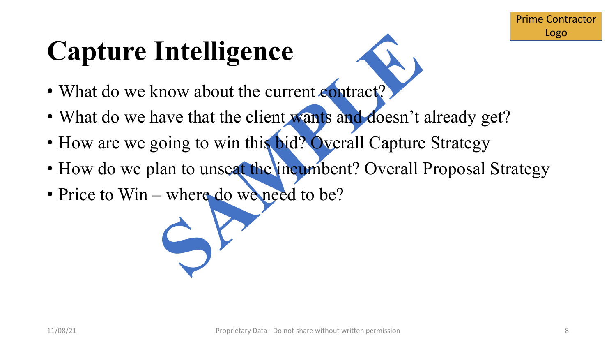## **Capture Intelligence**

- What do we know about the current contract?
- What do we have that the client wants and doesn't already get?
- Intelligence<br>
mow about the current contract?<br>
save that the client wants and doesn't<br>
soing to win this bid? Overall Capture<br>
lan to unseat the incumbent? Overall I<br>
where do we need to be? • How are we going to win this bid? Overall Capture Strategy
- How do we plan to unseat the incumbent? Overall Proposal Strategy
- Price to Win where do we need to be?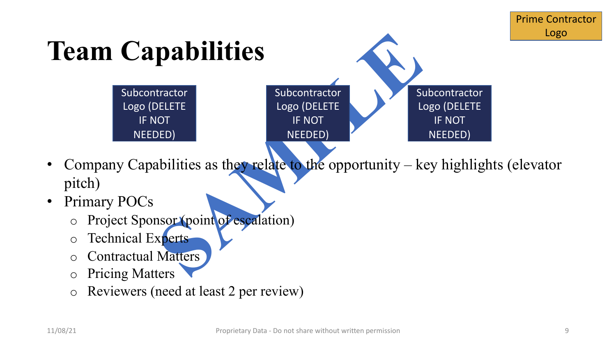

- Company Capabilities as they relate to the opportunity  $-$  key highlights (elevator pitch)
- Primary POCs
	- Project Sponsor (point of escalation)
	- o Technical Experts
	- **Contractual Matters**
	- **Pricing Matters**
	- o Reviewers (need at least 2 per review)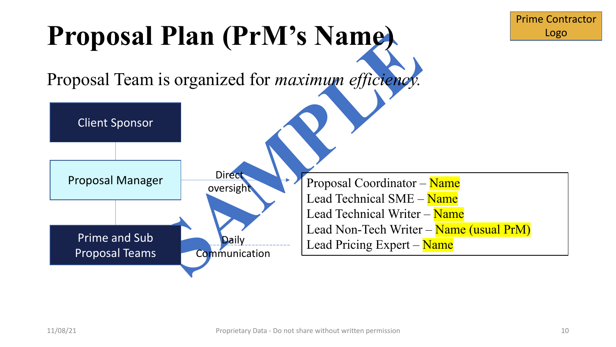### **Proposal Plan (PrM's Name)**

Proposal Team is organized for *maximum efficiency.*

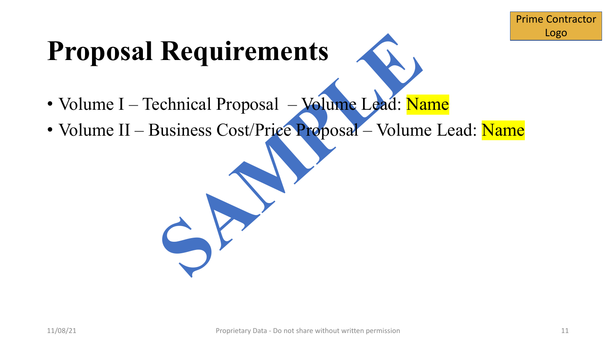# Requirements<br>
echnical Proposal – Volume Lead: Na<br>
Business Cost/Priee Proposal – Volum **Proposal Requirements**

- Volume I Technical Proposal Volume Lead: Name
- Volume II Business Cost/Price Proposal Volume Lead: Name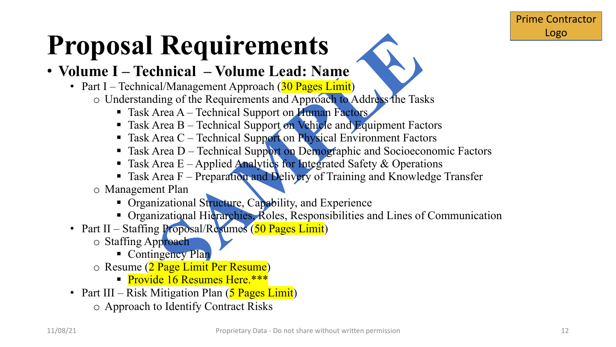# **Requirements**<br> **Solution And Access**<br> **Solution**<br> **Solution**<br> **Solution**<br> **Solution**<br> **Solution**<br> **Solution And Approach to Address the Tas**<br> **Solven A**—Technical Support on Pehiple and Equipment Fact<br>
Area B – Technical **Proposal Requirements**

#### • **Volume I – Technical – Volume Lead: Name**

#### • Part I – Technical/Management Approach (30 Pages Limit)

- o Understanding of the Requirements and Approach to Address the Tasks
	- Task Area A Technical Support on Human Factors
	- Task Area B Technical Support on Vehicle and Equipment Factors
	- Task Area C Technical Support on Physical Environment Factors
	- Task Area D Technical Support on Demographic and Socioeconomic Factors
	- **Task Area E** Applied Analytics for Integrated Safety & Operations
	- Task Area F Preparation and Delivery of Training and Knowledge Transfer
- o Management Plan
	- § Organizational Structure, Capability, and Experience
	- Organizational Hierarchies, Roles, Responsibilities and Lines of Communication
- Part II Staffing Proposal/Resumes (50 Pages Limit)
	- o Staffing Approach
		- Contingency Plan
	- o Resume (2 Page Limit Per Resume)
		- **Provide 16 Resumes Here.\*\*\***
- Part III Risk Mitigation Plan  $(5$  Pages Limit)
	- o Approach to Identify Contract Risks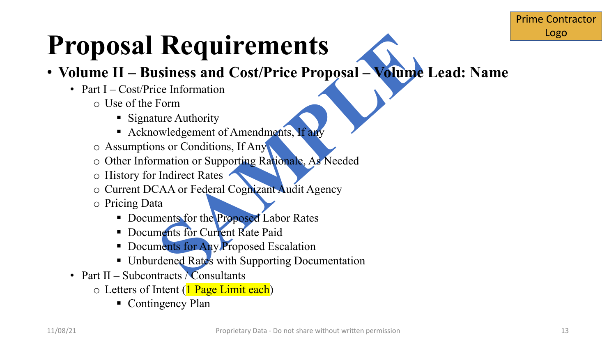# **Requirements**<br>
Siness and Cost/Price Proposal — Volume<br>
Ece Information<br>
Form<br>
The Authority<br>
Sure Authority<br>
Sure Authority<br>
Sure Authority<br>
Sure Authority<br>
Sure Conditions, If Any<br>
The Sure As Needed<br>
Indirect Rates<br>
CA **Proposal Requirements**

- **Volume II – Business and Cost/Price Proposal – Volume Lead: Name**
	- Part I Cost/Price Information
		- o Use of the Form
			- Signature Authority
			- Acknowledgement of Amendments, If any
		- o Assumptions or Conditions, If Any
		- o Other Information or Supporting Rationale, As Needed
		- o History for Indirect Rates
		- o Current DCAA or Federal Cognizant Audit Agency
		- o Pricing Data
			- Documents for the Proposed Labor Rates
			- **Documents for Current Rate Paid**
			- **Documents for Any Proposed Escalation**
			- Unburdened Rates with Supporting Documentation
	- Part II Subcontracts *Consultants* 
		- $\circ$  Letters of Intent (1 Page Limit each)
			- Contingency Plan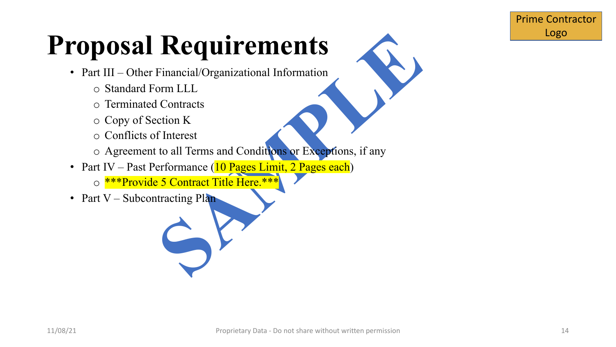# Requirements<br>
Financial/Organizational Information<br>
orm LLL<br>
Contracts<br>
tion K<br>
f Interest<br>
to all Terms and Conditions or Exceptions, if any<br>
erformance (10 Pages Limit, 2 Pages each)<br>
5 Contract Title Here.\*\*\* **Proposal Requirements**

- Part III Other Financial/Organizational Information
	- o Standard Form LLL
	- o Terminated Contracts
	- o Copy of Section K
	- o Conflicts of Interest
	- o Agreement to all Terms and Conditions or Exceptions, if any
- Part IV Past Performance (10 Pages Limit, 2 Pages each)
	- o \*\*\*Provide 5 Contract Title Here.\*\*\*
- Part V Subcontracting Plan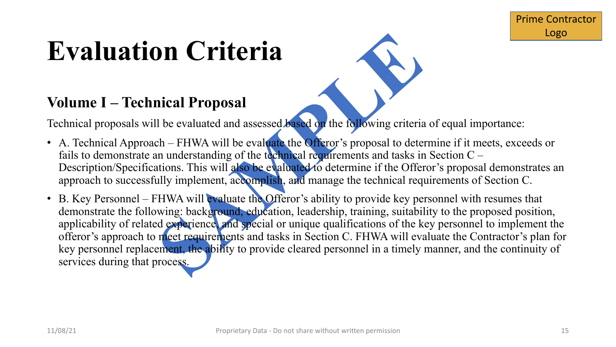### **Evaluation Criteria**

#### **Volume I – Technical Proposal**

Technical proposals will be evaluated and assessed based on the following criteria of equal importance:

- A. Technical Approach FHWA will be evaluate the Offeror's proposal to determine if it meets, exceeds or fails to demonstrate an understanding of the technical requirements and tasks in Section  $C -$ Description/Specifications. This will also be evaluated to determine if the Offeror's proposal demonstrates an approach to successfully implement, accomplish, and manage the technical requirements of Section C.
- **Solution Solution Control Control Control Control Control Control Control Control Control Control Control Control Control Control Control Control Control Control Control Control Control Control Control Control Control Con** • B. Key Personnel – FHWA will evaluate the Offeror's ability to provide key personnel with resumes that demonstrate the following: background, education, leadership, training, suitability to the proposed position, applicability of related experience, and special or unique qualifications of the key personnel to implement the offeror's approach to meet requirements and tasks in Section C. FHWA will evaluate the Contractor's plan for key personnel replacement, the ability to provide cleared personnel in a timely manner, and the continuity of services during that process.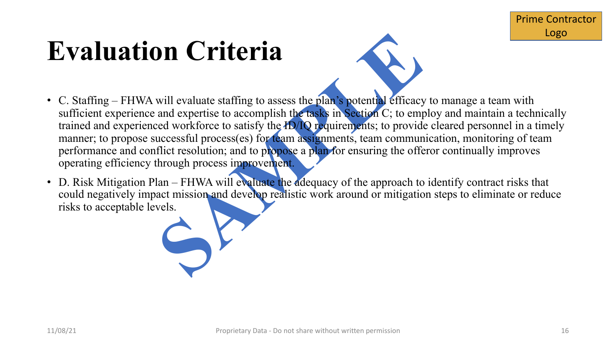#### **Evaluation Criteria**



- **SAMPLE SET ASSESS**<br>
Will evaluate staffing to assess the plan's potential efficacy<br>
and expertise to accomplish the tasks in Section C; to emp<br>
ed workforce to satisfy the HD O requirements, team commun<br>
uccessful process • C. Staffing – FHWA will evaluate staffing to assess the plan's potential efficacy to manage a team with sufficient experience and expertise to accomplish the tasks in Section C; to employ and maintain a technically trained and experienced workforce to satisfy the ID/IQ requirements; to provide cleared personnel in a timely manner; to propose successful process(es) for team assignments, team communication, monitoring of team performance and conflict resolution; and to propose a plan for ensuring the offeror continually improves operating efficiency through process improvement.
- D. Risk Mitigation Plan FHWA will evaluate the adequacy of the approach to identify contract risks that could negatively impact mission and develop realistic work around or mitigation steps to eliminate or reduce risks to acceptable levels.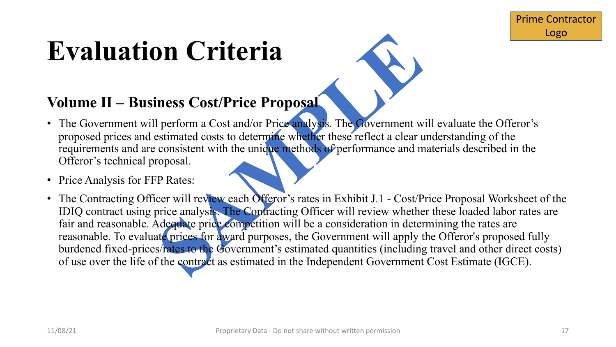### **Evaluation Criteria**

#### **Volume II – Business Cost/Price Proposal**

- The Government will perform a Cost and/or Price analysis. The Government will evaluate the Offeror's proposed prices and estimated costs to determine whether these reflect a clear understanding of the requirements and are consistent with the unique methods of performance and materials described in the Offeror's technical proposal.
- Price Analysis for FFP Rates:
- **Solution Set of the Contract of the Contract of the Contract of the Contract of the Contract of the Contract of the University of the University of the University of the University of the University of the University of t** • The Contracting Officer will review each Offeror's rates in Exhibit J.1 - Cost/Price Proposal Worksheet of the IDIQ contract using price analysis. The Contracting Officer will review whether these loaded labor rates are fair and reasonable. Adequate price competition will be a consideration in determining the rates are reasonable. To evaluate prices for award purposes, the Government will apply the Offeror's proposed fully burdened fixed-prices/rates to the Government's estimated quantities (including travel and other direct costs) of use over the life of the contract as estimated in the Independent Government Cost Estimate (IGCE).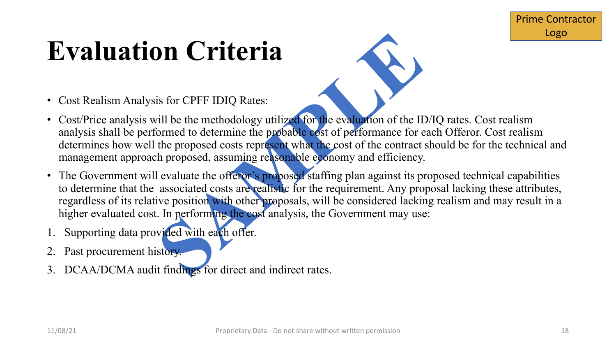### **Evaluation Criteria**

- Cost Realism Analysis for CPFF IDIQ Rates:
- Cost/Price analysis will be the methodology utilized for the evaluation of the ID/IQ rates. Cost realism analysis shall be performed to determine the probable cost of performance for each Offeror. Cost realism determines how well the proposed costs represent what the cost of the contract should be for the technical and management approach proposed, assuming reasonable economy and efficiency.
- **Solution Set to the CONSTRESS of the SAMPLE SCILL AND SET the SNUTTING SCILL AND SET THE PRODUCED SET THE PRODUCED SOLUTION OF THE PROPOSED CONTROLL CONTROLL CONTROLL CONTROLL CONTROLL CONTROLL CONTROLL CONTROLL CONTROLL** • The Government will evaluate the offeror's proposed staffing plan against its proposed technical capabilities to determine that the associated costs are realistic for the requirement. Any proposal lacking these attributes, regardless of its relative position with other proposals, will be considered lacking realism and may result in a higher evaluated cost. In performing the cost analysis, the Government may use:
- Supporting data provided with each offer.
- Past procurement history.
- 3. DCAA/DCMA audit findings for direct and indirect rates.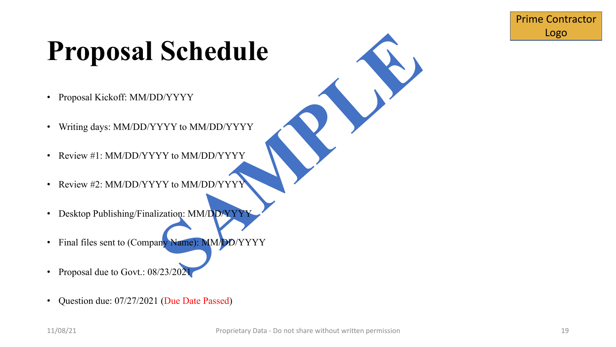# DAYYYY<br>
MAYADDAYYYY<br>YY to MM/DD/YYYY<br>
YY to MM/DD/YYYY<br>
VY to MM/DD/YYYY<br>
Lization: MM/DD/YYYY<br>
Lization: MM/DD/YYYY **Proposal Schedule**

- Proposal Kickoff: MM/DD/YYYY
- Writing days: MM/DD/YYYY to MM/DD/YYYY
- Review #1: MM/DD/YYYY to MM/DD/YYYY
- Review #2: MM/DD/YYYY to MM/DD/YYYY
- Desktop Publishing/Finalization: MM/DD/YYYY
- Final files sent to (Company Name): MM/DD/YYYY
- Proposal due to Govt.: 08/23/202
- Question due: 07/27/2021 (Due Date Passed)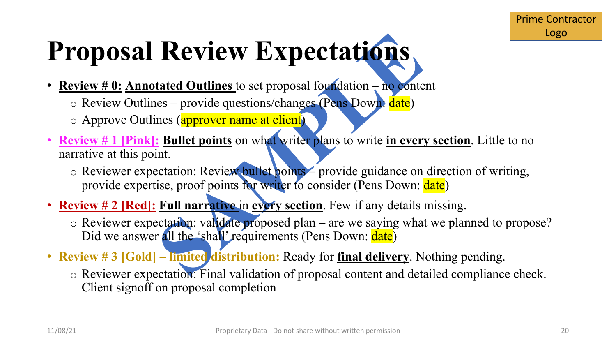# **SAMPLE Proposal Review Expectations**

- **Review # 0: Annotated Outlines** to set proposal foundation no content  $\circ$  Review Outlines – provide questions/changes (Pens Down: date)
	- o Approve Outlines (approver name at client)
- **Review # 1 [Pink]: Bullet points** on what writer plans to write **in every section**. Little to no narrative at this point.
	- o Reviewer expectation: Review bullet points provide guidance on direction of writing, provide expertise, proof points for writer to consider (Pens Down: date)
- **Review # 2 [Red]: Full narrative** in **every section**. Few if any details missing.
	- o Reviewer expectation: validate proposed plan are we saying what we planned to propose? Did we answer all the 'shall' requirements (Pens Down: date)
- **Review # 3 [Gold] – limited distribution:** Ready for **final delivery**. Nothing pending.
	- o Reviewer expectation: Final validation of proposal content and detailed compliance check. Client signoff on proposal completion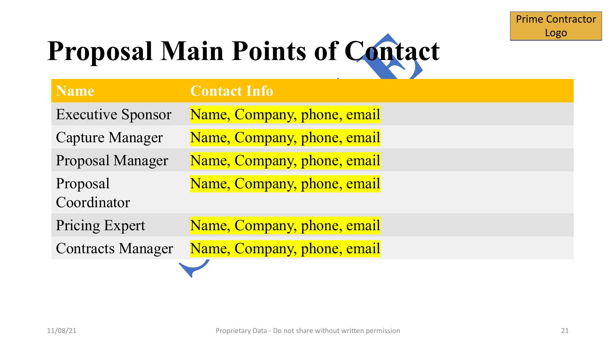## **Proposal Main Points of Contact**

|                          | <b>Proposal Main Points of Contact</b> |  |  |
|--------------------------|----------------------------------------|--|--|
| <b>Name</b>              | <b>Contact Info</b>                    |  |  |
| <b>Executive Sponsor</b> | Name, Company, phone, email            |  |  |
| <b>Capture Manager</b>   | Name, Company, phone, email            |  |  |
| Proposal Manager         | Name, Company, phone, email            |  |  |
| Proposal<br>Coordinator  | Name, Company, phone, email            |  |  |
| Pricing Expert           | Name, Company, phone, email            |  |  |
| <b>Contracts Manager</b> | Name, Company, phone, email            |  |  |
|                          |                                        |  |  |